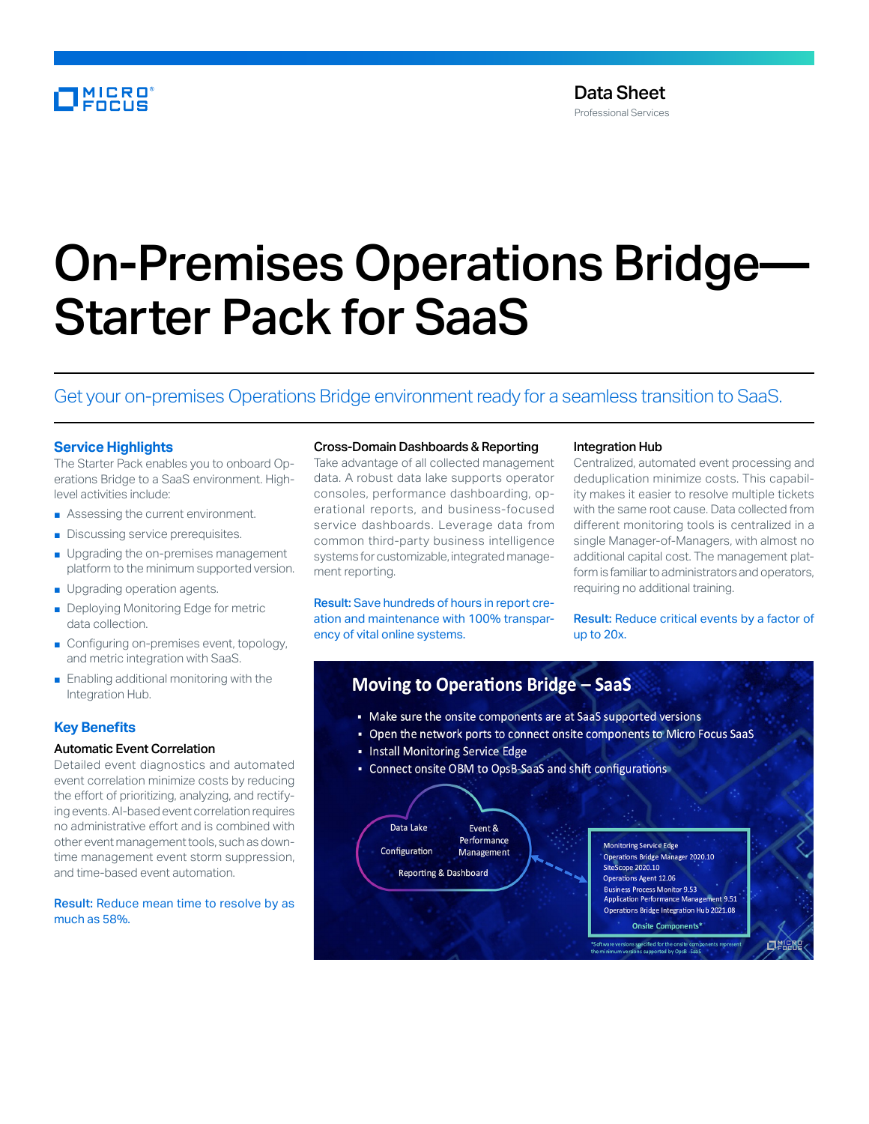# MICRO<br>FOCUS

# On-Premises Operations Bridge— Starter Pack for SaaS

# Get your on-premises Operations Bridge environment ready for a seamless transition to SaaS.

#### **Service Highlights**

The Starter Pack enables you to onboard Operations Bridge to a SaaS environment. Highlevel activities include:

- Assessing the current environment.
- Discussing service prerequisites.
- Upgrading the on-premises management platform to the minimum supported version.
- Upgrading operation agents.
- Deploying Monitoring Edge for metric data collection.
- Configuring on-premises event, topology, and metric integration with SaaS.
- Enabling additional monitoring with the Integration Hub.

## **Key Benefits**

#### Automatic Event Correlation

Detailed event diagnostics and automated event correlation minimize costs by reducing the effort of prioritizing, analyzing, and rectifying events. AI-based event correlation requires no administrative effort and is combined with other event management tools, such as downtime management event storm suppression, and time-based event automation.

Result: Reduce mean time to resolve by as much as 58%.

#### Cross-Domain Dashboards & Reporting

Take advantage of all collected management data. A robust data lake supports operator consoles, performance dashboarding, operational reports, and business-focused service dashboards. Leverage data from common third-party business intelligence systems for customizable, integrated management reporting.

Result: Save hundreds of hours in report creation and maintenance with 100% transparency of vital online systems.

#### Integration Hub

Centralized, automated event processing and deduplication minimize costs. This capability makes it easier to resolve multiple tickets with the same root cause. Data collected from different monitoring tools is centralized in a single Manager-of-Managers, with almost no additional capital cost. The management platform is familiar to administrators and operators, requiring no additional training.

Result: Reduce critical events by a factor of up to 20x.

# Moving to Operations Bridge - SaaS

- Make sure the onsite components are at SaaS supported versions
- Open the network ports to connect onsite components to Micro Focus SaaS
- Install Monitoring Service Edge
- Connect onsite OBM to OpsB-SaaS and shift configurations

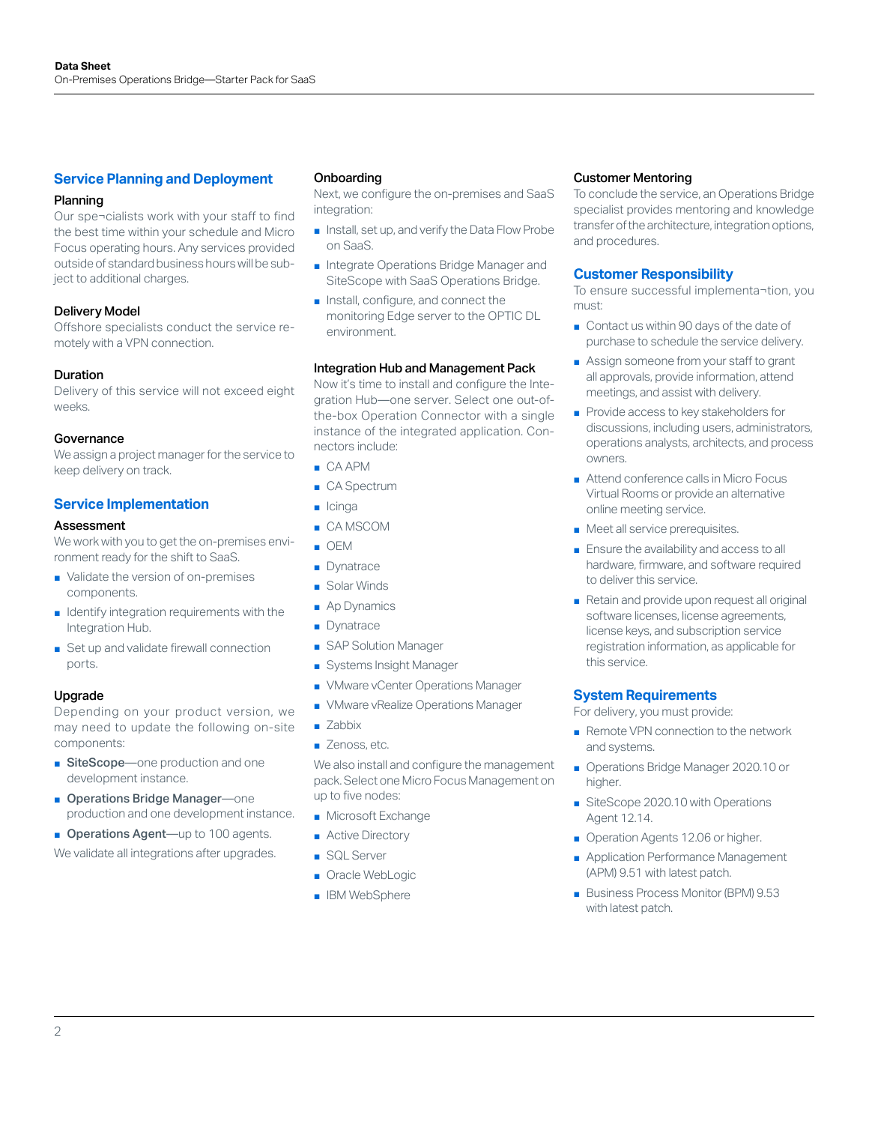#### **Service Planning and Deployment**

#### Planning

Our spe¬cialists work with your staff to find the best time within your schedule and Micro Focus operating hours. Any services provided outside of standard business hours will be subject to additional charges.

#### Delivery Model

Offshore specialists conduct the service remotely with a VPN connection.

#### Duration

Delivery of this service will not exceed eight weeks.

#### **Governance**

We assign a project manager for the service to keep delivery on track.

#### **Service Implementation**

#### Assessment

We work with you to get the on-premises environment ready for the shift to SaaS.

- Validate the version of on-premises components.
- Identify integration requirements with the Integration Hub.
- Set up and validate firewall connection ports.

#### Upgrade

Depending on your product version, we may need to update the following on-site components:

- SiteScope—one production and one development instance.
- Operations Bridge Manager—one production and one development instance.
- Operations Agent—up to 100 agents.

We validate all integrations after upgrades.

#### Onboarding

Next, we configure the on-premises and SaaS integration:

- Install, set up, and verify the Data Flow Probe on SaaS.
- Integrate Operations Bridge Manager and SiteScope with SaaS Operations Bridge.
- Install, configure, and connect the monitoring Edge server to the OPTIC DL environment.

#### Integration Hub and Management Pack

Now it's time to install and configure the Integration Hub—one server. Select one out-ofthe-box Operation Connector with a single instance of the integrated application. Connectors include:

- CA APM
- CA Spectrum
- Icinga
- CA MSCOM
- OEM
- Dynatrace
- Solar Winds
- Ap Dynamics
- Dynatrace
- SAP Solution Manager
- Systems Insight Manager
- VMware vCenter Operations Manager
- VMware vRealize Operations Manager
- Zabbix
- Zenoss, etc.

We also install and configure the management pack. Select one Micro Focus Management on up to five nodes:

- Microsoft Exchange
- Active Directory
- SQL Server
- Oracle WebLogic
- IBM WebSphere

#### Customer Mentoring

To conclude the service, an Operations Bridge specialist provides mentoring and knowledge transfer of the architecture, integration options, and procedures.

#### **Customer Responsibility**

To ensure successful implementa¬tion, you must:

- Contact us within 90 days of the date of purchase to schedule the service delivery.
- Assign someone from your staff to grant all approvals, provide information, attend meetings, and assist with delivery.
- Provide access to key stakeholders for discussions, including users, administrators, operations analysts, architects, and process owners.
- Attend conference calls in Micro Focus Virtual Rooms or provide an alternative online meeting service.
- Meet all service prerequisites.
- Ensure the availability and access to all hardware, firmware, and software required to deliver this service.
- Retain and provide upon request all original software licenses, license agreements, license keys, and subscription service registration information, as applicable for this service.

#### **System Requirements**

For delivery, you must provide:

- Remote VPN connection to the network and systems.
- Operations Bridge Manager 2020.10 or higher.
- SiteScope 2020.10 with Operations Agent 12.14.
- Operation Agents 12.06 or higher.
- Application Performance Management (APM) 9.51 with latest patch.
- Business Process Monitor (BPM) 9.53 with latest patch.